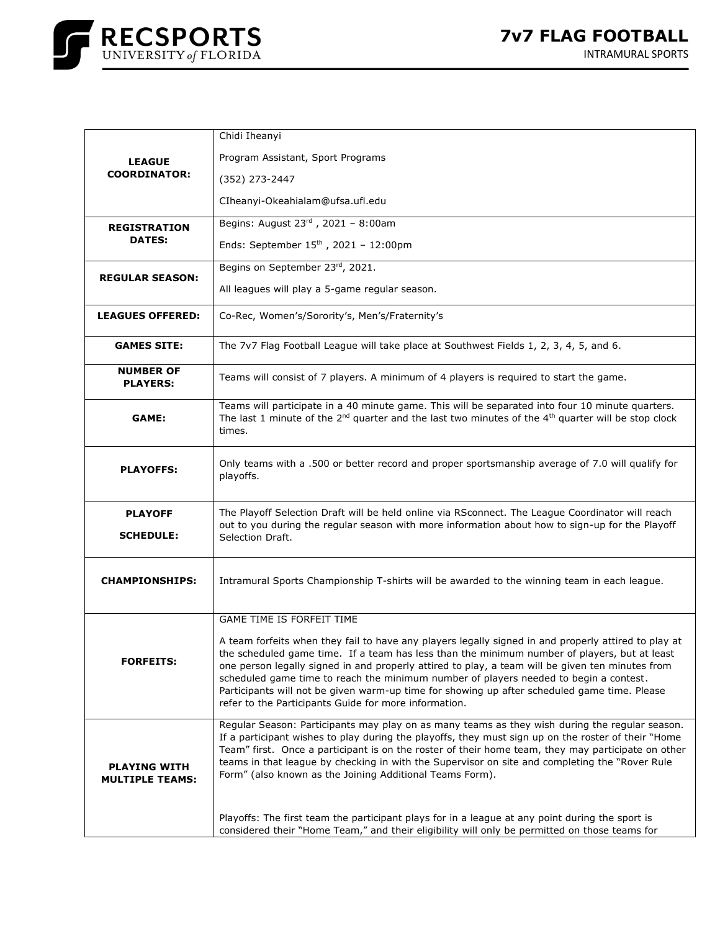

|                                               | Chidi Iheanyi                                                                                                                                                                                                                                                                                                                                                                                                                                                                                                                                              |
|-----------------------------------------------|------------------------------------------------------------------------------------------------------------------------------------------------------------------------------------------------------------------------------------------------------------------------------------------------------------------------------------------------------------------------------------------------------------------------------------------------------------------------------------------------------------------------------------------------------------|
| <b>LEAGUE</b><br><b>COORDINATOR:</b>          | Program Assistant, Sport Programs                                                                                                                                                                                                                                                                                                                                                                                                                                                                                                                          |
|                                               | (352) 273-2447                                                                                                                                                                                                                                                                                                                                                                                                                                                                                                                                             |
|                                               | CIheanyi-Okeahialam@ufsa.ufl.edu                                                                                                                                                                                                                                                                                                                                                                                                                                                                                                                           |
| <b>REGISTRATION</b><br><b>DATES:</b>          | Begins: August 23rd, 2021 - 8:00am                                                                                                                                                                                                                                                                                                                                                                                                                                                                                                                         |
|                                               | Ends: September $15^{th}$ , 2021 - 12:00pm                                                                                                                                                                                                                                                                                                                                                                                                                                                                                                                 |
| <b>REGULAR SEASON:</b>                        | Begins on September 23rd, 2021.                                                                                                                                                                                                                                                                                                                                                                                                                                                                                                                            |
|                                               | All leagues will play a 5-game regular season.                                                                                                                                                                                                                                                                                                                                                                                                                                                                                                             |
| <b>LEAGUES OFFERED:</b>                       | Co-Rec, Women's/Sorority's, Men's/Fraternity's                                                                                                                                                                                                                                                                                                                                                                                                                                                                                                             |
| <b>GAMES SITE:</b>                            | The 7v7 Flag Football League will take place at Southwest Fields 1, 2, 3, 4, 5, and 6.                                                                                                                                                                                                                                                                                                                                                                                                                                                                     |
| <b>NUMBER OF</b><br><b>PLAYERS:</b>           | Teams will consist of 7 players. A minimum of 4 players is required to start the game.                                                                                                                                                                                                                                                                                                                                                                                                                                                                     |
| GAME:                                         | Teams will participate in a 40 minute game. This will be separated into four 10 minute quarters.<br>The last 1 minute of the $2^{nd}$ quarter and the last two minutes of the 4 <sup>th</sup> quarter will be stop clock<br>times.                                                                                                                                                                                                                                                                                                                         |
| <b>PLAYOFFS:</b>                              | Only teams with a .500 or better record and proper sportsmanship average of 7.0 will qualify for<br>playoffs.                                                                                                                                                                                                                                                                                                                                                                                                                                              |
| <b>PLAYOFF</b>                                | The Playoff Selection Draft will be held online via RSconnect. The League Coordinator will reach                                                                                                                                                                                                                                                                                                                                                                                                                                                           |
| <b>SCHEDULE:</b>                              | out to you during the regular season with more information about how to sign-up for the Playoff<br>Selection Draft.                                                                                                                                                                                                                                                                                                                                                                                                                                        |
| <b>CHAMPIONSHIPS:</b>                         | Intramural Sports Championship T-shirts will be awarded to the winning team in each league.                                                                                                                                                                                                                                                                                                                                                                                                                                                                |
| <b>FORFEITS:</b>                              | GAME TIME IS FORFEIT TIME                                                                                                                                                                                                                                                                                                                                                                                                                                                                                                                                  |
|                                               | A team forfeits when they fail to have any players legally signed in and properly attired to play at<br>the scheduled game time. If a team has less than the minimum number of players, but at least<br>one person legally signed in and properly attired to play, a team will be given ten minutes from<br>scheduled game time to reach the minimum number of players needed to begin a contest.<br>Participants will not be given warm-up time for showing up after scheduled game time. Please<br>refer to the Participants Guide for more information. |
| <b>PLAYING WITH</b><br><b>MULTIPLE TEAMS:</b> | Regular Season: Participants may play on as many teams as they wish during the regular season.<br>If a participant wishes to play during the playoffs, they must sign up on the roster of their "Home<br>Team" first. Once a participant is on the roster of their home team, they may participate on other<br>teams in that league by checking in with the Supervisor on site and completing the "Rover Rule"<br>Form" (also known as the Joining Additional Teams Form).                                                                                 |
|                                               | Playoffs: The first team the participant plays for in a league at any point during the sport is<br>considered their "Home Team," and their eligibility will only be permitted on those teams for                                                                                                                                                                                                                                                                                                                                                           |